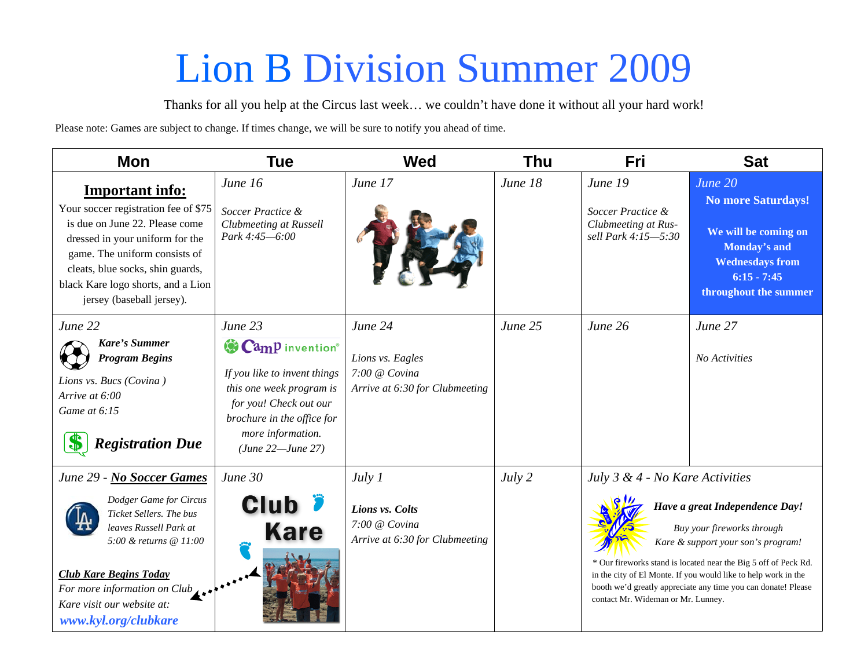## Lion B Division Summer 2009

Thanks for all you help at the Circus last week… we couldn't have done it without all your hard work!

Please note: Games are subject to change. If times change, we will be sure to notify you ahead of time.

| Mon                                                                                                                                                                                                                                                                         | Tue                                                                                                                                                                                      | <b>Wed</b>                                                                     | <b>Thu</b> | Fri                                                                                                                                                                                                                                                                                                                                                                               | <b>Sat</b>                                                                                                                                       |
|-----------------------------------------------------------------------------------------------------------------------------------------------------------------------------------------------------------------------------------------------------------------------------|------------------------------------------------------------------------------------------------------------------------------------------------------------------------------------------|--------------------------------------------------------------------------------|------------|-----------------------------------------------------------------------------------------------------------------------------------------------------------------------------------------------------------------------------------------------------------------------------------------------------------------------------------------------------------------------------------|--------------------------------------------------------------------------------------------------------------------------------------------------|
| <b>Important info:</b><br>Your soccer registration fee of \$75<br>is due on June 22. Please come<br>dressed in your uniform for the<br>game. The uniform consists of<br>cleats, blue socks, shin guards,<br>black Kare logo shorts, and a Lion<br>jersey (baseball jersey). | June 16<br>Soccer Practice &<br><b>Clubmeeting at Russell</b><br>Park 4:45-6:00                                                                                                          | June 17                                                                        | June 18    | June 19<br>Soccer Practice &<br>Clubmeeting at Rus-<br>sell Park 4:15-5:30                                                                                                                                                                                                                                                                                                        | June 20<br><b>No more Saturdays!</b><br>We will be coming on<br>Monday's and<br><b>Wednesdays from</b><br>$6:15 - 7:45$<br>throughout the summer |
| June 22<br>Kare's Summer<br><b>Program Begins</b><br>Lions vs. Bucs (Covina)<br>Arrive at 6:00<br>Game at 6:15<br><b>Registration Due</b>                                                                                                                                   | June 23<br>Camp invention®<br>If you like to invent things<br>this one week program is<br>for you! Check out our<br>brochure in the office for<br>more information.<br>(June 22—June 27) | June 24<br>Lions vs. Eagles<br>7:00 @ Covina<br>Arrive at 6:30 for Clubmeeting | June 25    | June 26                                                                                                                                                                                                                                                                                                                                                                           | June 27<br>No Activities                                                                                                                         |
| June 29 - No Soccer Games<br>Dodger Game for Circus<br>Ticket Sellers. The bus<br>leaves Russell Park at<br>5:00 & returns @ 11:00<br><b>Club Kare Begins Today</b><br>For more information on $Club_{\perp}$ .<br>Kare visit our website at:<br>www.kyl.org/clubkare       | June 30<br><b>Club</b><br><b>Kare</b>                                                                                                                                                    | July 1<br>Lions vs. Colts<br>7:00 @ Covina<br>Arrive at 6:30 for Clubmeeting   | July 2     | July 3 & 4 - No Kare Activities<br>Have a great Independence Day!<br>Buy your fireworks through<br>Kare & support your son's program!<br>* Our fireworks stand is located near the Big 5 off of Peck Rd.<br>in the city of El Monte. If you would like to help work in the<br>booth we'd greatly appreciate any time you can donate! Please<br>contact Mr. Wideman or Mr. Lunney. |                                                                                                                                                  |